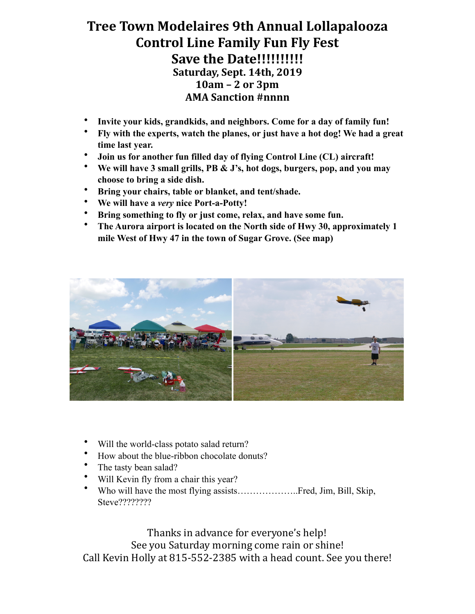## **Tree Town Modelaires 9th Annual Lollapalooza Control Line Family Fun Fly Fest Save the Date!!!!!!!!!!! Saturday, Sept. 14th, 2019 10am – 2 or 3pm AMA Sanction #nnnn**

- **Invite your kids, grandkids, and neighbors. Come for a day of family fun!**
- **Fly with the experts, watch the planes, or just have a hot dog! We had a great time last year.**
- **Join us for another fun filled day of flying Control Line (CL) aircraft!**
- **We will have 3 small grills, PB & J's, hot dogs, burgers, pop, and you may choose to bring a side dish.**
- **Bring your chairs, table or blanket, and tent/shade.**
- **We will have a** *very* **nice Port-a-Potty!**
- **Bring something to fly or just come, relax, and have some fun.**
- **The Aurora airport is located on the North side of Hwy 30, approximately 1 mile West of Hwy 47 in the town of Sugar Grove. (See map)**



- Will the world-class potato salad return?
- How about the blue-ribbon chocolate donuts?
- The tasty bean salad?
- Will Kevin fly from a chair this year?
- Who will have the most flying assists………………..Fred, Jim, Bill, Skip, Steve????????

Thanks in advance for everyone's help! See you Saturday morning come rain or shine! Call Kevin Holly at 815-552-2385 with a head count. See you there!